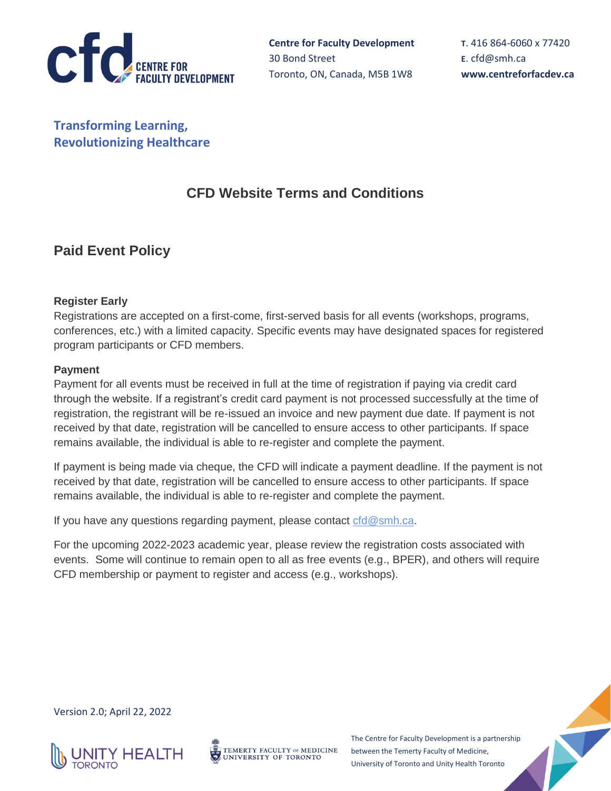

**Transforming Learning, Revolutionizing Healthcare**

# **CFD Website Terms and Conditions**

# **Paid Event Policy**

### **Register Early**

Registrations are accepted on a first-come, first-served basis for all events (workshops, programs, conferences, etc.) with a limited capacity. Specific events may have designated spaces for registered program participants or CFD members.

### **Payment**

Payment for all events must be received in full at the time of registration if paying via credit card through the website. If a registrant's credit card payment is not processed successfully at the time of registration, the registrant will be re-issued an invoice and new payment due date. If payment is not received by that date, registration will be cancelled to ensure access to other participants. If space remains available, the individual is able to re-register and complete the payment.

If payment is being made via cheque, the CFD will indicate a payment deadline. If the payment is not received by that date, registration will be cancelled to ensure access to other participants. If space remains available, the individual is able to re-register and complete the payment.

If you have any questions regarding payment, please contact  $c f d Q s m h.c a$ .

For the upcoming 2022-2023 academic year, please review the registration costs associated with events. Some will continue to remain open to all as free events (e.g., BPER), and others will require CFD membership or payment to register and access (e.g., workshops).

Version 2.0; April 22, 2022





The Centre for Faculty Development is a partnership between the Temerty Faculty of Medicine, University of Toronto and Unity Health Toronto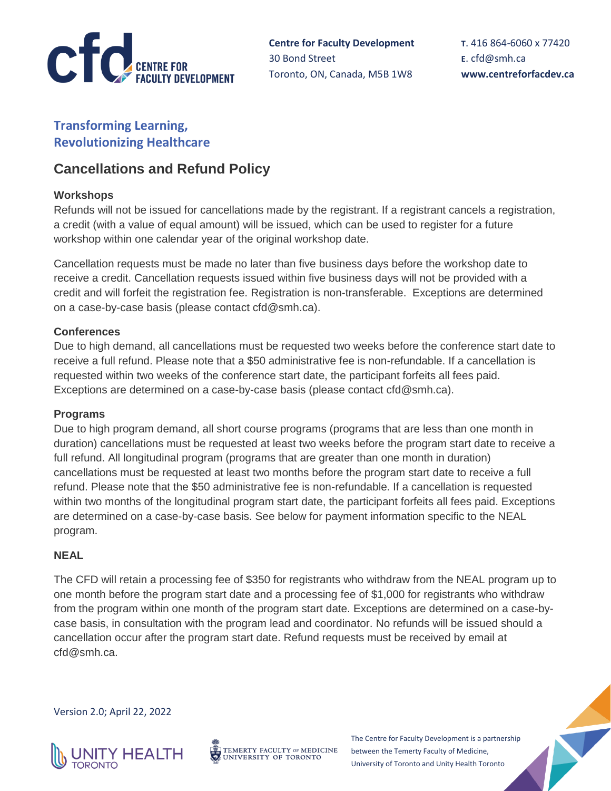

**Centre for Faculty Development** 30 Bond Street Toronto, ON, Canada, M5B 1W8

**T**. 416 864-6060 x 77420 **E**. [cfd@smh.ca](mailto:cfd@smh.ca) **www.centreforfacdev.ca**

# **Transforming Learning, Revolutionizing Healthcare**

# **Cancellations and Refund Policy**

## **Workshops**

Refunds will not be issued for cancellations made by the registrant. If a registrant cancels a registration, a credit (with a value of equal amount) will be issued, which can be used to register for a future workshop within one calendar year of the original workshop date.

Cancellation requests must be made no later than five business days before the workshop date to receive a credit. Cancellation requests issued within five business days will not be provided with a credit and will forfeit the registration fee. Registration is non-transferable. Exceptions are determined on a case-by-case basis (please contact cfd@smh.ca).

### **Conferences**

Due to high demand, all cancellations must be requested two weeks before the conference start date to receive a full refund. Please note that a \$50 administrative fee is non-refundable. If a cancellation is requested within two weeks of the conference start date, the participant forfeits all fees paid. Exceptions are determined on a case-by-case basis (please contact cfd@smh.ca).

#### **Programs**

Due to high program demand, all short course programs (programs that are less than one month in duration) cancellations must be requested at least two weeks before the program start date to receive a full refund. All longitudinal program (programs that are greater than one month in duration) cancellations must be requested at least two months before the program start date to receive a full refund. Please note that the \$50 administrative fee is non-refundable. If a cancellation is requested within two months of the longitudinal program start date, the participant forfeits all fees paid. Exceptions are determined on a case-by-case basis. See below for payment information specific to the NEAL program.

### **NEAL**

The CFD will retain a processing fee of \$350 for registrants who withdraw from the NEAL program up to one month before the program start date and a processing fee of \$1,000 for registrants who withdraw from the program within one month of the program start date. Exceptions are determined on a case-bycase basis, in consultation with the program lead and coordinator. No refunds will be issued should a cancellation occur after the program start date. Refund requests must be received by email at cfd@smh.ca.

Version 2.0; April 22, 2022



TEMERTY FACULTY OF MEDICINE UNIVERSITY OF TORONTO

The Centre for Faculty Development is a partnership between the Temerty Faculty of Medicine, University of Toronto and Unity Health Toronto